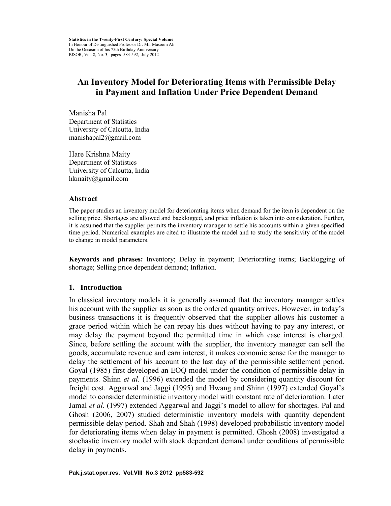# **An Inventory Model for Deteriorating Items with Permissible Delay in Payment and Inflation Under Price Dependent Demand**

Manisha Pal Department of Statistics University of Calcutta, India manishapal2@gmail.com

Hare Krishna Maity Department of Statistics University of Calcutta, India hkmaity@gmail.com

#### **Abstract**

The paper studies an inventory model for deteriorating items when demand for the item is dependent on the selling price. Shortages are allowed and backlogged, and price inflation is taken into consideration. Further, it is assumed that the supplier permits the inventory manager to settle his accounts within a given specified time period. Numerical examples are cited to illustrate the model and to study the sensitivity of the model to change in model parameters.

**Keywords and phrases:** Inventory; Delay in payment; Deteriorating items; Backlogging of shortage; Selling price dependent demand; Inflation.

### **1. Introduction**

In classical inventory models it is generally assumed that the inventory manager settles his account with the supplier as soon as the ordered quantity arrives. However, in today's business transactions it is frequently observed that the supplier allows his customer a grace period within which he can repay his dues without having to pay any interest, or may delay the payment beyond the permitted time in which case interest is charged. Since, before settling the account with the supplier, the inventory manager can sell the goods, accumulate revenue and earn interest, it makes economic sense for the manager to delay the settlement of his account to the last day of the permissible settlement period. Goyal (1985) first developed an EOQ model under the condition of permissible delay in payments. Shinn *et al.* (1996) extended the model by considering quantity discount for freight cost. Aggarwal and Jaggi (1995) and Hwang and Shinn (1997) extended Goyal's model to consider deterministic inventory model with constant rate of deterioration. Later Jamal *et al.* (1997) extended Aggarwal and Jaggi's model to allow for shortages. Pal and Ghosh (2006, 2007) studied deterministic inventory models with quantity dependent permissible delay period. Shah and Shah (1998) developed probabilistic inventory model for deteriorating items when delay in payment is permitted. Ghosh (2008) investigated a stochastic inventory model with stock dependent demand under conditions of permissible delay in payments.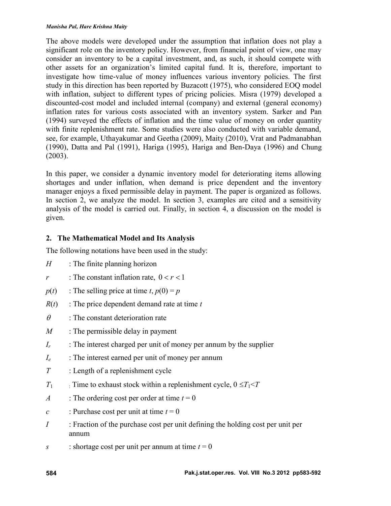#### *Manisha Pal, Hare Krishna Maity*

The above models were developed under the assumption that inflation does not play a significant role on the inventory policy. However, from financial point of view, one may consider an inventory to be a capital investment, and, as such, it should compete with other assets for an organization's limited capital fund. It is, therefore, important to investigate how time-value of money influences various inventory policies. The first study in this direction has been reported by Buzacott (1975), who considered EOQ model with inflation, subject to different types of pricing policies. Misra (1979) developed a discounted-cost model and included internal (company) and external (general economy) inflation rates for various costs associated with an inventory system. Sarker and Pan (1994) surveyed the effects of inflation and the time value of money on order quantity with finite replenishment rate. Some studies were also conducted with variable demand, see, for example, Uthayakumar and Geetha (2009), Maity (2010), Vrat and Padmanabhan (1990), Datta and Pal (1991), Hariga (1995), Hariga and Ben-Daya (1996) and Chung (2003).

In this paper, we consider a dynamic inventory model for deteriorating items allowing shortages and under inflation, when demand is price dependent and the inventory manager enjoys a fixed permissible delay in payment. The paper is organized as follows. In section 2, we analyze the model. In section 3, examples are cited and a sensitivity analysis of the model is carried out. Finally, in section 4, a discussion on the model is given.

## **2. The Mathematical Model and Its Analysis**

The following notations have been used in the study:

- *H* : The finite planning horizon
- *r* : The constant inflation rate,  $0 < r < 1$
- $p(t)$  : The selling price at time *t*,  $p(0) = p$
- $R(t)$  : The price dependent demand rate at time  $t$
- $\theta$ : The constant deterioration rate
- *M* : The permissible delay in payment
- $I_r$  : The interest charged per unit of money per annum by the supplier
- *I<sup>e</sup>* : The interest earned per unit of money per annum
- *T* : Length of a replenishment cycle
- *T*<sub>1</sub>  $\cdot$  Time to exhaust stock within a replenishment cycle,  $0 \leq T_1 \leq T$
- *A* : The ordering cost per order at time  $t = 0$
- *c* : Purchase cost per unit at time  $t = 0$
- *I* : Fraction of the purchase cost per unit defining the holding cost per unit per annum
- *s* : shortage cost per unit per annum at time  $t = 0$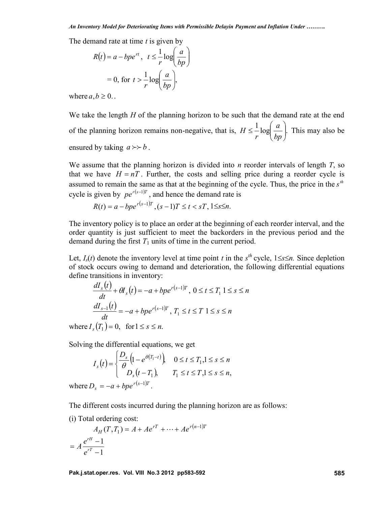The demand rate at time *t* is given by

$$
R(t) = a - bpe^{rt}, \quad t \leq \frac{1}{r} \log\left(\frac{a}{bp}\right)
$$

$$
= 0, \text{ for } t > \frac{1}{r} \log\left(\frac{a}{bp}\right),
$$

where  $a, b \geq 0$ ...

We take the length *H* of the planning horizon to be such that the demand rate at the end of the planning horizon remains non-negative, that is,  $H \leq \frac{1}{r} \log \left( \frac{a}{bp} \right)$ . This may also be  $\begin{array}{ccc} \n\end{array}$  $\left(\overline{bp}\right)$ . This may also be  $\leq$   $\frac{1}{2} \log \left( \frac{a}{b} \right)$ . This may also be *bp*  $a \mid$  This may also be  $r \left( bp \right)$  $H \leq -\log \frac{u}{t}$ . This may also be ensured by taking  $a \rightarrow b$ .

We assume that the planning horizon is divided into *n* reorder intervals of length *T*, so that we have  $H = nT$ . Further, the costs and selling price during a reorder cycle is assumed to remain the same as that at the beginning of the cycle. Thus, the price in the  $s<sup>th</sup>$ cycle is given by  $pe^{r(s-1)T}$ , and hence the demand rate is

$$
R(t) = a - bpe^{r(s-1)T}, (s-1)T \le t < sT, 1 \le s \le n.
$$

The inventory policy is to place an order at the beginning of each reorder interval, and the order quantity is just sufficient to meet the backorders in the previous period and the demand during the first  $T_1$  units of time in the current period.

Let,  $I_s(t)$  denote the inventory level at time point *t* in the  $s<sup>th</sup>$  cycle,  $1 \leq s \leq n$ . Since depletion of stock occurs owing to demand and deterioration, the following differential equations define transitions in inventory:

$$
\frac{dI_s(t)}{dt} + \theta I_s(t) = -a + bpe^{r(s-1)T}, \ 0 \le t \le T_1 \ 1 \le s \le n
$$
\n
$$
\frac{dI_{s-1}(t)}{dt} = -a + bpe^{r(s-1)T}, \ T_1 \le t \le T \ 1 \le s \le n
$$
\nwhere  $I_s(T_1) = 0$ , for  $1 \le s \le n$ .

Solving the differential equations, we get

$$
I_s(t) = \begin{cases} \frac{D_s}{\theta} \left( 1 - e^{\theta(T_1 - t)} \right) & 0 \le t \le T_1, 1 \le s \le n \\ D_s(t - T_1), & T_1 \le t \le T, 1 \le s \le n, \end{cases}
$$
\nwhere  $D_s = -a + bpe^{r(s-1)T}$ .

The different costs incurred during the planning horizon are as follows:

(i) Total ordering cost:

$$
A_H(T, T_1) = A + Ae^{rT} + \dots + Ae^{r(n-1)T}
$$
  
=  $A \frac{e^{rH} - 1}{e^{rT} - 1}$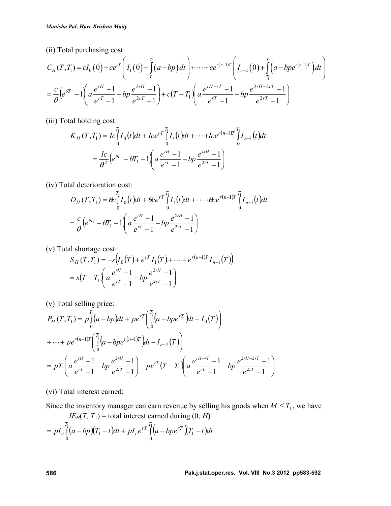(ii) Total purchasing cost:

Manisha Pat, Hare Krishna Maity

\n(ii) Total purchasing cost:

\n
$$
C_H(T, T_1) = cI_0(0) + ce^{rT} \left( I_1(0) + \int_{T_1}^T (a - bp) dt \right) + \dots + ce^{r(n-1)T} \left( I_{n-2}(0) + \int_{T_1}^T (a - bpe^{r(n-1)T}) dt \right)
$$
\n
$$
= \frac{c}{\theta} \left( e^{tT_1} - 1 \right) \left( a \frac{e^{rH} - 1}{e^{rT} - 1} - bp \frac{e^{2rH} - 1}{e^{2rT} - 1} \right) + c(T - T_1) \left( a \frac{e^{rH - rT} - 1}{e^{rT} - 1} - bp \frac{e^{2rH - 2rT} - 1}{e^{2rT} - 1} \right)
$$
\n(iii) Total holding cost:

\n
$$
K_H(T, T_1) = I_c \left[ I_0(t) dt + Ice^{rT} \right] I_1(t) dt + \dots + Ice^{r(n-1)T} \left[ I_{n-1}(t) dt \right]
$$

(iii) Total holding cost:

$$
K_H(T, T_1) = I_c \int_0^{T_1} I_0(t)dt + Ice^{rT} \int_0^{T_1} I_t(t)dt + \dots + Ice^{r(n-1)T} \int_0^{T_1} I_{n-1}(t)dt
$$
  
=  $\frac{Ic}{\theta^2} (e^{\theta T_1} - \theta T_1 - 1) \left( a \frac{e^{rH} - 1}{e^{rT} - 1} - bp \frac{e^{2rH} - 1}{e^{2rT} - 1} \right)$ 

(iv) Total deterioration cost:

$$
D_H(T, T_1) = \theta c \int_0^{T_1} I_0(t) dt + \theta c e^{rT} \int_0^{T_1} I_t(t) dt + \dots + \theta c e^{r(n-1)T} \int_0^{T_1} I_{n-1}(t) dt
$$
  
=  $\frac{c}{\theta} \left( e^{\theta T_1} - \theta T_1 - 1 \right) \left( a \frac{e^{rH} - 1}{e^{rT} - 1} - bp \frac{e^{2rH} - 1}{e^{2rT} - 1} \right)$ 

(v) Total shortage cost:

$$
S_H(T, T_1) = -s \Big( I_0(T) + e^{rT} I_1(T) + \dots + e^{r(n-1)T} I_{n-1}(T) \Big)
$$
  
=  $s(T - T_1) \Big( a \frac{e^{rH} - 1}{e^{rT} - 1} - bp \frac{e^{2rH} - 1}{e^{2rT} - 1} \Big)$ 

(v) Total selling price:

$$
P_H(T, T_1) = p \int_0^{T_1} (a - bp) dt + p e^{rT} \left( \int_0^{T_1} (a - b p e^{rT}) dt - I_0(T) \right)
$$
  
+ ... + p e<sup>r(n-1)T</sup>  $\left( \int_0^{T_1} (a - b p e^{r(n-1)T}) dt - I_{n-2}(T) \right)$   
=  $p T_1 \left( a \frac{e^{rH} - 1}{e^{rT} - 1} - b p \frac{e^{2rH} - 1}{e^{2rT} - 1} \right) - p e^{rT} (T - T_1) \left( a \frac{e^{rH - rT} - 1}{e^{rT} - 1} - b p \frac{e^{2rH - 2rT} - 1}{e^{2rT} - 1} \right)$ 

(vi) Total interest earned:

Since the inventory manager can earn revenue by selling his goods when  $M \leq T_1$ , we have

$$
IE_H(T, T_1) = \text{total interest earned during } (0, H)
$$
  
=  $pI_e \int_0^{T_1} (a - bp)(T_1 - t)dt + pI_e e^{rT} \int_0^{T_1} (a - bpe^{rT})(T_1 - t)dt$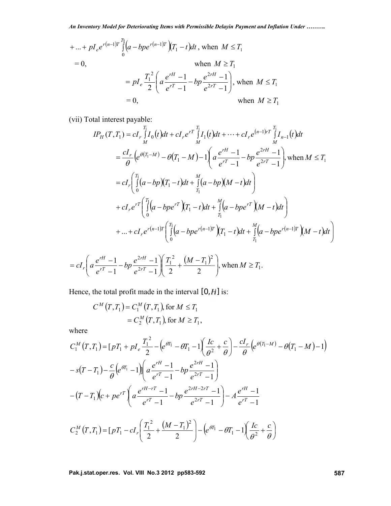+ ... + 
$$
pI_e e^{r(n-1)T} \int_0^T \left( a - bpe^{r(n-1)T} \right) (T_1 - t) dt
$$
, when  $M \le T_1$   
\n= 0,  
\nwhen  $M \ge T_1$   
\n=  $pI_e \frac{T_1^2}{2} \left( a \frac{e^{rH} - 1}{e^{rT} - 1} - bp \frac{e^{2rH} - 1}{e^{2rT} - 1} \right)$ , when  $M \le T_1$   
\n= 0,  
\nwhen  $M \ge T_1$ 

(vii) Total interest payable:

$$
IP_H(T, T_1) = cI_r \int_{M}^{T_1} I_0(t)dt + cI_r e^{rT} \int_{M}^{T_1} I_1(t)dt + \dots + cI_r e^{(n-1)rT} \int_{M}^{T_1} I_{n-1}(t)dt
$$
  
\n
$$
= \frac{cI_r}{\theta} \Big( e^{\theta(T_1 - M)} - \theta(T_1 - M) - 1 \Bigg( a \frac{e^{rH} - 1}{e^{rT} - 1} - bp \frac{e^{2rH} - 1}{e^{2rT} - 1} \Bigg), \text{ when } M \leq T_1
$$
  
\n
$$
= cI_r \Bigg( \int_{0}^{T_1} (a - bp)(T_1 - t)dt + \int_{T_1}^{M} (a - bp)(M - t)dt \Bigg)
$$
  
\n
$$
+ cI_r e^{rT} \Bigg( \int_{0}^{T_1} (a - bpe^{rT})(T_1 - t)dt + \int_{T_1}^{M} (a - bpe^{rT})(M - t)dt \Bigg)
$$
  
\n
$$
+ \dots + cI_r e^{r(n-1)r} \Bigg( \int_{0}^{T_1} (a - bpe^{r(n-1)r})(T_1 - t)dt + \int_{T_1}^{M} (a - bpe^{r(n-1)r})(M - t)dt \Bigg)
$$

$$
= cI_r \left( a \frac{e^{rH} - 1}{e^{rT} - 1} - bp \frac{e^{2rH} - 1}{e^{2rT} - 1} \right) \left( \frac{T_1^2}{2} + \frac{(M - T_1)^2}{2} \right), \text{ when } M \ge T_1.
$$

Hence, the total profit made in the interval  $[0, H]$  is:

$$
C^{M}(T, T_{1}) = C_{1}^{M}(T, T_{1}), \text{ for } M \leq T_{1}
$$
  
=  $C_{2}^{M}(T, T_{1}), \text{ for } M \geq T_{1},$ 

where

$$
C_{1}^{M}(T, T_{1}) = [pT_{1} + pI_{e} \frac{T_{1}^{2}}{2} - (e^{\theta T_{1}} - \theta T_{1} - 1) \frac{Ic}{\theta^{2}} + \frac{c}{\theta} - \frac{cI_{r}}{\theta} (e^{\theta (T_{1} - M)} - \theta (T_{1} - M) - 1)
$$
  

$$
-s(T - T_{1}) - \frac{c}{\theta} (e^{\theta T_{1}} - 1) \left[ a \frac{e^{rH} - 1}{e^{rT} - 1} - bp \frac{e^{2rH} - 1}{e^{2rT} - 1} \right]
$$
  

$$
-(T - T_{1})(c + pe^{rT}) \left( a \frac{e^{rH - rT} - 1}{e^{rT} - 1} - bp \frac{e^{2rH - 2rT} - 1}{e^{2rT} - 1} \right) - A \frac{e^{rH} - 1}{e^{rT} - 1}
$$
  

$$
C_{2}^{M}(T, T_{1}) = [pT_{1} - cI_{r} \left( \frac{T_{1}^{2}}{2} + \frac{(M - T_{1})^{2}}{2} \right) - (e^{\theta T_{1}} - \theta T_{1} - 1) \left( \frac{Ic}{\theta^{2}} + \frac{c}{\theta} \right)
$$

**Pak.j.stat.oper.res. Vol. VIII No.3 2012 pp583-592 587**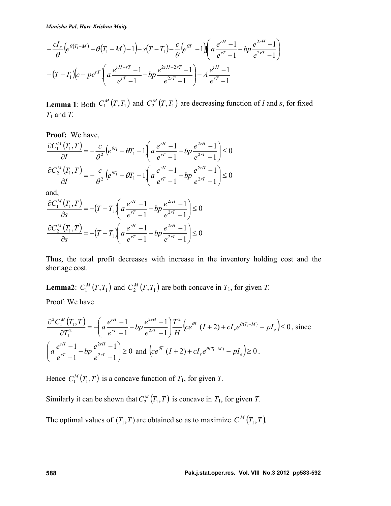$$
-\frac{cI_r}{\theta} \left(e^{\theta(T_1-M)} - \theta(T_1-M) - 1\right) - s(T-T_1) - \frac{c}{\theta} \left(e^{\theta T_1} - 1\right) \left(a\frac{e^{rH}-1}{e^{rT}-1} - bp\frac{e^{2rH}-1}{e^{rT}-1}\right) - (T-T_1)\left(c + pe^{rT}\left(a\frac{e^{rH-rT}-1}{e^{rT}-1} - bp\frac{e^{2rH}-2rT}{e^{rT}-1} - 1\right) - A\frac{e^{rH}-1}{e^{rT}-1}
$$

**Lemma 1**: Both  $C_1^M(T,T_1)$  and  $C_2^M(T,T_1)$  are decreasing function of *I* and *s*, for fixed *T*<sup>1</sup> and *T.*

**Proof:** We have,  $\frac{(T_1,T)}{(T_1,T)} = -\frac{c}{c^2} \left( e^{i T_1} - \theta T_1 - 1 \right) a \frac{e^{rH} - 1}{r} - b p \frac{e^{2rH} - 1}{r} \le 0$  $1)$  $\left(1\right)$   $\leq$  0 1  $e^{2rT}-1$  $\frac{1}{1} \left( \frac{1}{2} \right) = -\frac{c}{c^2} \left( e^{\theta T_1} - \theta T_1 - 1 \right) \left( a \frac{e^{rH} - 1}{r} - bp \frac{e^{2rH} - 1}{r} \right) \le 0$  $2rT \quad 1$  |  $\equiv$   $\sim$  $2rH \quad 1$  $\frac{1}{\partial I} \left( \frac{1}{2} \right)^{1/2} = -\frac{C}{\theta^2} \left( e^{\theta T_1} - \theta T_1 - 1 \right) \left( a \frac{C}{e^{rT} - 1} - bp \frac{C}{e^{2rT} - 1} \right) \leq 0$  $\frac{1}{2}$  $\left( \int_{0}^{a} \frac{e^{rT}-1}{e^{rT}-1} - \int_{0}^{a} e^{2rT}-1 \right) \leq 0$  $\left(e^{rH}-1\right)e^{2rH}-1$  $\left( -1 \right)$  $(-bp \frac{e^{2rH} - 1}{2r}) \le 0$  $-1$   $e^{2rT}-1$   $-1$  $=-\frac{c}{c^2}\left(e^{\theta T_1}-\theta T_1-1\right)a\frac{e^{rH}-1}{r-1}-bp\frac{e^{2rH}-1}{r-1}\geq 0$  $\partial I$   $\theta^2$   $\theta^2$   $\theta^2$   $\theta^T-1$  $\partial C_1^M(T_1,T)$  c  $\int_{\partial T_1}^T$  or  $\int_{\partial T}^T$   $e^{rH}$ *rT*  $rH$  1)  $rT$  1  $\frac{\partial P}{\partial r^T}$  1  $\frac{\partial P}{\partial r}$  $\frac{d^{M}(T_{1},T)}{\partial T} = -\frac{c}{\theta^{2}}\Big(e^{\theta T_{1}}-\theta T_{1}-1\Bigg(a\frac{e^{rH}-1}{e^{rT}-1}-bp\frac{e^{2rH}-1}{e^{2rT}-1}\Bigg) \leq 0$  $\frac{c}{c^2}$   $(e^{tT_1} - \theta T_1 - 1)$   $\frac{e^{rt} - 1}{r} - bp \frac{e^{2rt} - 1}{r} \le 0$  $I \qquad \theta^2$   $\qquad \qquad$   $I \qquad \qquad$  $\frac{C_1^M(T_1, T)}{T_1} = -\frac{c}{T_1} \left(e^{tT_1} - \theta T_1 - 1\right) a \frac{e^{rH} - 1}{T_1} - b r \frac{e^{2rH} - 1}{T_1}$  $\theta$ θ.  $\left(\frac{T_1, T}{T_1}\right) = -\frac{c}{c^2} \left(e^{\theta T_1} - \theta T_1 - 1\right) a \frac{e^{rH} - 1}{r} - bp \frac{e^{2rH} - 1}{r} \le 0$ 1)  $\left(1\right)$   $\geq 0$ 1  $e^{2rT}-1$ )  $\frac{1}{1} \frac{1}{1} = -\frac{c}{1} \left( e^{\theta T_1} - \theta T_1 - 1 \right) a \frac{e^{rH} - 1}{1} - bp \frac{e^{2rH} - 1}{2r} \le 0$  $2rT \quad 1$  |  $\sim$  $2rH \qquad 1$  $\frac{2}{\partial I} \left( \frac{a_{11}}{I} + \frac{b_{12}}{I} \right) = -\frac{c}{\theta^{2}} \left( e^{\theta T_{1}} - \theta T_{1} - 1 \right) \left( a \frac{e^{T_{1}} - 1}{e^{T_{1}} - 1} - b p \frac{e^{T_{1}} - 1}{e^{2T_{1}} - 1} \right) \leq 0$  $\frac{1}{2}$  $\left( \frac{a \frac{rT}{e^{rT}-1} - op}{e^{2rT}-1} \right) \leq 0$  $\left(e^{rH}-1\right)e^{2rH}-1$  $\left( -1 \right)$  $(-bp \frac{e^{2rH} - 1}{2r}) \le 0$  $-1$   $e^{2rT}-1$  $=-\frac{c}{c^2}\left(e^{\theta T_1}-\theta T_1-1\right)a\frac{e^{rH}-1}{r}-bp\frac{e^{2rH}-1}{r} \ge 0$  $\partial I$   $\theta^2$   $\theta^2$   $\theta^r - 1$  $\partial C_2^M(T_1,T)$  c  $\int_{\partial T_1}^T$  or  $\int_{\partial T}^T$   $e^{rH}$ *rT*  $rH \sim 1$  $rT$  1  $\left| \begin{array}{cc} r & r \\ r & r \end{array} \right|$  1  $\left| \begin{array}{cc} r & r \\ r & r \end{array} \right|$  $\frac{d^M}{d^M} \left( \frac{T_1}{T_1}, \frac{T}{T_2} \right) = -\frac{c}{\theta^2} \left( e^{\theta T_1} - \theta T_1 - 1 \right) \left( a \frac{e^{rH} - 1}{e^{rT} - 1} - bp \frac{e^{2rH} - 1}{e^{2rT} - 1} \right) \le 0$  $\frac{c}{c^2}$   $\left(e^{tT_1}-\theta T_1-1\right)$   $\frac{e^{rt}-1}{r}$   $-bp\frac{e^{2rt}-1}{r}$   $\leq 0$  $I \qquad \theta^2$   $\qquad \qquad$   $\qquad \qquad$   $\qquad \qquad$   $\qquad$  $\frac{C_2^M(T_1, T)}{T_1} = -\frac{c}{T_1} \left( e^{tT_1} - \theta T_1 - 1 \right) a \frac{e^{rH} - 1}{T_1} - b \theta \frac{e^{2rH} - 1}{T_1}$  $\theta$  $\theta$ and,  $\left(\frac{(T_1,T)}{(T_1,T)}\right) = -(T-T_1)\left(a\frac{e^{rH}-1}{rT_1}-bp\frac{e^{2rH}-1}{rT_1}\right) \leq 0$ 1) 1  $e^{2rT}-1$ )  $(T)$   $(r - r)^{\frac{1}{2}} e^{rt} - 1$   $\frac{1}{2} e^{2rt} - 1$   $\frac{1}{2} e^{2rt}$  $2rT \quad 1$  |  $\equiv$   $\sim$  $2rH \qquad 1$  $\frac{1}{1} \frac{d}{dx} \left( T_1, T \right) = -(T - T_1) \left( a \frac{e^{rH} - 1}{e^{rT} - 1} - bp \frac{e^{2rH} - 1}{e^{2rT} - 1} \right) \leq 0$  $\int$  $\left( \frac{a \frac{rT}{e^{rT}-1} - op}{e^{2rT}-1} \right) \leq 0$  $\left(a\frac{e^{rH}-1}{e^{rH}-1}-bp\frac{e^{2rH}-1}{e^{rH}-1}\right)\leq 0$  $\left( -1 \right)$  $-1$   $e^{2rT}-1$  $= -(T-T_1) \left( a \frac{e^{rH}-1}{r}-bp \frac{e^{2rH}-1}{r} \right) \leq 0$  $\partial s$   $\left(1 + \frac{1}{2}\right) \left(\frac{u}{e^{rT}} - 1\right)$   $\left(\frac{v}{e^{2rT}} - 1\right)$  $\partial C_1^M(T_1,T)$  (x x)  $e^{rH}-1$ ,  $e^{r}$ *rT*  $rH \sim 1$  $rT$  1  $\frac{c}{r^2}$   $\frac{2r}{r^2}$  1  $\frac{1}{r^2}$  $\frac{M}{\epsilon}$  $\left(\frac{F_1}{F_2}, T\right)$  =  $-\left(T - T_1\right)\left(a\frac{e^{rH} - 1}{e^{rT} - 1} - bp\frac{e^{2rH} - 1}{e^{2rT} - 1}\right) \le 0$  $\left[T-T_1\right] \left(a \frac{e^{rH}-1}{r}-bp \frac{e^{2rH}-1}{2r} \right] \leq 0$ *s*  $e^{rT}-1$  $C_1^M(T_1, T)$   $(T_1, T)$   $e^{rH} - 1$   $e^{2rH} - 1$   $\geq 0$ 

$$
\frac{\partial C_2^M(T_1, T)}{\partial s} = -(T - T_1) \left( a \frac{e^{rH} - 1}{e^{rT} - 1} - bp \frac{e^{2rH} - 1}{e^{2rT} - 1} \right) \le 0
$$

Thus, the total profit decreases with increase in the inventory holding cost and the shortage cost.

**Lemma2**:  $C_1^M(T,T_1)$  and  $C_2^M(T,T_1)$  are both concave in  $T_1$ , for given  $T$ .

Proof: We have

$$
\frac{\partial^2 C_1^M(T_1, T)}{\partial T_1^2} = -\left(a\frac{e^{rH} - 1}{e^{rT} - 1} - bp\frac{e^{2rH} - 1}{e^{2rT} - 1}\right) \frac{T^2}{H} \left(ce^{\theta T} (I + 2) + cI_r e^{\theta (T_1 - M)} - pI_e\right) \le 0, \text{ since}
$$
\n
$$
\left(a\frac{e^{rH} - 1}{e^{rT} - 1} - bp\frac{e^{2rH} - 1}{e^{2rT} - 1}\right) \ge 0 \text{ and } \left(ce^{\theta T} (I + 2) + cI_r e^{\theta (T_1 - M)} - pI_e\right) \ge 0.
$$

Hence  $C_1^M(T_1, T)$  is a concave function of  $T_1$ , for given  $T$ .

Similarly it can be shown that  $C_2^M(T_1, T)$  is concave in  $T_1$ , for given  $T$ .

The optimal values of  $(T_1, T)$  are obtained so as to maximize  $C^M(T_1, T)$ .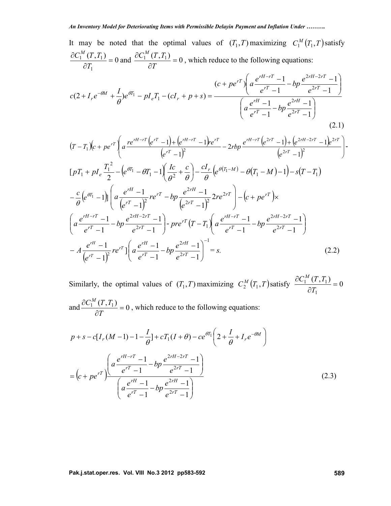It may be noted that the optimal values of  $(T_1, T)$  maximizing  $C_1^M(T_1, T)$  satisfy  $\frac{(T,T_1)}{T_1}$  = 0 and  $\frac{\partial C_1^M(T,T_1)}{\partial T_1}$  = 0, which reduce to  $1$   $U1$  $\frac{1}{2}$   $\frac{(1,1)}{1}$  = 0 and  $\frac{0.01}{2}$   $\frac{(1,1)}{1}$  = 0, which reduce to the  $\partial T_1$   $\partial T$   $\partial T$  $\partial C_1^M(T,T_1)$   $\partial C_1^M(T,T_1)$  $T_1$   $\partial T$  $C_1^M(T,T_1)$  and  $\partial C_1^M(T,T_1)$  a which reduce to and  $\frac{\partial C_1^M(T, T_1)}{\partial T} = 0$ , which reduce to the following equation  $\partial T$  , which cannot is the contract  $\partial T$  $\partial C_1^M(T,T_1)$  0 1 1 1 1 1 0 *T*  $C_1^M(T,T_1)$  0 which reduce to the following equation , which reduce to the following equations:  $\int$  $\sqrt{2}$  $\left(\frac{a}{e^{rT}-1}-op\frac{er}{e^{2rT}-1}\right)$  $\left(e^{rH}-1\right)$ ,  $e^{2rH}-1$ )  $-1$ )  $(-bp \frac{e^{2rH}-1}{2r})$  $-1$   $e^{2rT}-1$  $-1$ ,  $e^{2rH}-1$ )  $\int$  $\big)$  $\left(\frac{a-rT}{e^{rT}-1}-bp\right)^{r}$   $\frac{e^{2rT}-1}{e^{2rT}-1}$  $\left(e^{rH-rT}-1\right)$   $e^{2rH-2rT}-1$  $-1$  )  $(-bp \frac{e^{2rH-2rT}-1}{2rT})$  $-1$   $e^{2rT}-1$  $+ pe^{rT} \int a \frac{e^{rH-rT}-1}{r} - bp \frac{e^{2rH-2rT}-1}{r}$  $+I_{r}e^{-\theta M}+\frac{I}{c}e^{\theta I_{1}}-pI_{\rho}T_{1}-(cI_{r}+p+s)=-\frac{(cI_{r}+p+s)}{(cI_{r}+p+s)}$  $-rT$  1  $2rH-2rT$  1  $-\theta M$   $I_{\alpha} \theta T_1$   $I T$   $\theta I$ 1 ) 1) and the same state of the same state of the same state of the same state of the same state of the same state of the same state of the same state of the same state of the same state of the same state of the same state of 1  $e^{2r_1}-1$ 1  $e^{2rH}-1$ 1  $e^{2rt}-1$ 1)  $(c + pe^{rT})\left(a\frac{e^{rH-rT}-1}{r}-bp\frac{e^{2rH-2rT}-1}{2r}\right)$  $(2 + I_r e^{-\theta M} + \frac{1}{e})e^{\theta I_1} - pI_eT_1 - (cI_r + p + s) =$  $2rT \quad 1$  $2rH \quad 1$  $2rT \quad 1$  $2rH-2rT \quad 1$ 1 1  $\int$ *rT*  $\int$  $rH \sim 1$  $rT$  1  $\frac{\partial P}{\partial 2rT}$  1  $e^{rT}-1$   $e^{2rT}-1$  $rH-2rT$  1  $rT$  1  $^{\circ}P$   $_{\circ}2rT$  1  $\int_{rT} \int_{\alpha} e^{rH-rT} - 1$   $\int_{\alpha} e^{2rH-2rT} - 1$  $e^{M} + \frac{I}{a}e^{H_1} - pI_eT_1 - (cI_r + p + s) =$  $\int e^{e^{tH}-1} e^{e^{tH}-1} e^{e^{tH}-1}$ <br>  $\left( a \frac{e^{rH}-1}{e^{rT}-1} - b p \frac{e^{2rH}-1}{e^{2rT}-1} \right)$  $a\frac{e^{rH}-1}{r} - bp\frac{e^{2rH}-1}{r}$  $e^{2rT}-1$  )  $bp \frac{e^{2rH-2rT}-1}{2rT}$  $e^{rT}-1$   $e^{2rT}-1$  $c + pe^{rT}$ )  $\left( a \frac{e^{rH-rT}-1}{rT} - bp \frac{e^{2rH-2rT}-1}{rT} \right)$  $c(2 + I_r e^{-\theta M} + \frac{I}{c})e^{\theta I_1} - pI_e T_1 - (cI_r + p + s) = \frac{e^{rI} - 1}{(e^{rI} - 1)^{rI}}$  $\theta$ (2.1)

$$
(T - T_1)(c + pe^{rT}) \left( a \frac{re^{rH - rT} (e^{rT} - 1) + (e^{rH - rT} - 1)re^{rT}}{(e^{rT} - 1)^2} - 2rbp \frac{e^{rH - rT} (e^{2rT} - 1) + (e^{2rH - 2rT} - 1)e^{2rT}}{(e^{2rT} - 1)^2} \right)
$$
  
\n
$$
[pT_1 + pl_e \frac{T_1^2}{2} - (e^{\theta T_1} - \theta T_1 - 1) \left( \frac{Ic}{\theta^2} + \frac{c}{\theta} \right) - \frac{cI_r}{\theta} (e^{\theta (T_1 - M)} - \theta (T_1 - M) - 1) - s(T - T_1)
$$
  
\n
$$
- \frac{c}{\theta} (e^{\theta T_1} - 1) \left( a \frac{e^{rH} - 1}{(e^{rT} - 1)^2} re^{rT} - bp \frac{e^{2rH} - 1}{(e^{2rT} - 1)^2} 2re^{2rT} \right) - (c + pe^{rT}) \times
$$
  
\n
$$
\left( a \frac{e^{rH - rT} - 1}{e^{rT} - 1} - bp \frac{e^{2rH - 2rT} - 1}{e^{2rT} - 1} \right) - pre^{rT} (T - T_1) \left( a \frac{e^{rH - rT} - 1}{e^{rT} - 1} - bp \frac{e^{2rH - 2rT} - 1}{e^{2rT} - 1} \right)
$$
  
\n
$$
- A \frac{e^{rH} - 1}{(e^{rT} - 1)^2} re^{rT} \left( a \frac{e^{rH} - 1}{e^{rT} - 1} - bp \frac{e^{2rH} - 1}{e^{2rT} - 1} \right)^{-1} = s.
$$
  
\n(2.2)

Similarly, the optimal values of  $(T_1, T)$  maximizing  $C_2^M(T_1, T)$  satisfy  $\frac{\partial C_1^M(T, T_1)}{\partial T} = 0$ 1  $\frac{1}{2}$   $\frac{(1,1)}{1}$  = 0  $\partial T_1$  $\partial C_1^M(T,T_1)$  $T_1$  $C_1^M(T,T_1)$ and  $\frac{\partial C_1^M(T,T_1)}{\partial T} = 0$ , which reduce to the following equation  $\partial T$  , which reduce to the rond  $\theta$  $\partial C_1^M(T,T_1)$  0 1:1 1 1 1  $\Omega$ *T*  $C_1^M(T,T_1)$   $\qquad$   $\qquad$   $\qquad$   $\qquad$   $\qquad$   $\qquad$   $\qquad$   $\qquad$   $\qquad$   $\qquad$   $\qquad$   $\qquad$   $\qquad$   $\qquad$   $\qquad$   $\qquad$   $\qquad$   $\qquad$   $\qquad$   $\qquad$   $\qquad$   $\qquad$   $\qquad$   $\qquad$   $\qquad$   $\qquad$   $\qquad$   $\qquad$   $\qquad$   $\qquad$   $\qquad$   $\qquad$   $\qquad$   $\qquad$   $\qquad$ , which reduce to the following equations:

$$
p + s - c[I_r(M - 1) - 1 - \frac{I}{\theta}] + cT_1(I + \theta) - ce^{\theta T_1} \left(2 + \frac{I}{\theta} + I_r e^{-\theta M}\right)
$$
  
= 
$$
\left(c + pe^{rT}\right) \frac{\left(a\frac{e^{rH - rT} - 1}{e^{rT} - 1} - bp\frac{e^{2rH - 2rT} - 1}{e^{2rT} - 1}\right)}{\left(a\frac{e^{rH} - 1}{e^{rT} - 1} - bp\frac{e^{2rH} - 1}{e^{2rT} - 1}\right)}
$$
(2.3)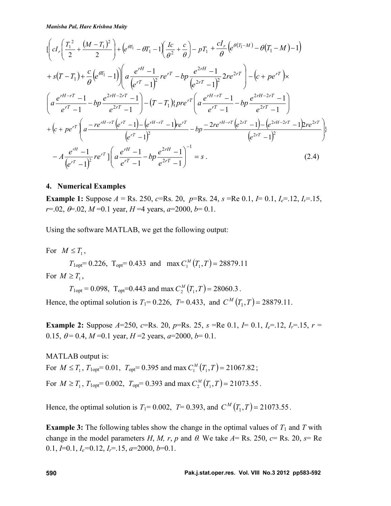*Manisha Pal, Hare Krishna Maity*

$$
\begin{split}\n&\left[\left(cI_{r}\left(\frac{T_{1}^{2}}{2}+\frac{(M-T_{1})^{2}}{2}\right)+\left(e^{i\theta_{1}}-i\theta_{1}-1\right)\left(\frac{Ic}{\theta^{2}}+\frac{c}{\theta}\right)-pT_{1}+\frac{cI_{r}}{\theta}\left(e^{i(\theta_{1}-M)}-\theta(T_{1}-M)-1\right)\right.\right.\\
&\left. +s(T-T_{1})+\frac{c}{\theta}\left(e^{i\theta_{1}}-1\right)\right)\left(a\frac{e^{rH}-1}{\left(e^{rT}-1\right)^{2}}re^{rT}-bp\frac{e^{2rH}-1}{\left(e^{2rT}-1\right)^{2}}2re^{2rT}\right)-\left(c+pe^{rT}\right)\times \\
&\left(a\frac{e^{rH-rT}-1}{e^{rT}-1}-bp\frac{e^{2rH-2rT}-1}{e^{2rT}-1}\right)-\left(T-T_{1}\right)\left(pre^{rT}\left(a\frac{e^{rH-rT}-1}{e^{rT}-1}-bp\frac{e^{2rH-2rT}-1}{e^{2rT}-1}\right)\right.\\
&\left. +\left(c+pe^{rT}\left(a\frac{-re^{rH-rT}\left(e^{rT}-1\right)-\left(e^{rH-rT}-1\right)e^{rT}}{\left(e^{rT}-1\right)^{2}}-bp\frac{-2re^{rH-rT}\left(e^{2rT}-1\right)-\left(e^{2rH-2rT}-1\right)e^{2rT}}{\left(e^{2rT}-1\right)^{2}}\right)\right.\right.\\&\left. -A\frac{e^{rH}-1}{\left(e^{rT}-1\right)^{2}}re^{rT}\left(a\frac{e^{rH}-1}{e^{rT}-1}-bp\frac{e^{2rH}-1}{e^{2rT}-1}\right)^{-1}=s.\n\end{split} \tag{2.4}
$$

#### **4. Numerical Examples**

**Example 1:** Suppose  $A = \text{Rs. } 250$ , *c*=Rs. 20, *p*=Rs. 24, *s* =Re 0.1, *I*= 0.1, *I<sub>e</sub>*=.12, *I<sub>r</sub>*=.15,  $r=0.02$ ,  $\theta=0.02$ ,  $M=0.1$  year,  $H=4$  years,  $a=2000$ ,  $b=0.1$ .

Using the software MATLAB, we get the following output:

For  $M \leq T_1$ ,

 $T_{1\text{opt}} = 0.226$ ,  $T_{\text{opt}} = 0.433$  and max  $C_1^M(T_1, T) = 28879.11$ 

For  $M \geq T_1$ ,

 $T_{1\text{opt}} = 0.098$ ,  $T_{\text{opt}} = 0.443$  and max  $C_2^M(T_1, T) = 28060.3$ .

Hence, the optimal solution is  $T_1 = 0.226$ ,  $T = 0.433$ , and  $C^M(T_1, T) = 28879.11$ .

**Example 2:** Suppose  $A=250$ ,  $c=Rs$ . 20,  $p=Rs$ . 25,  $s = Re\ 0.1$ ,  $I=0.1$ ,  $I<sub>e</sub>=12$ ,  $I<sub>r</sub>=15$ ,  $r =$ 0.15,  $\theta = 0.4$ ,  $M = 0.1$  year,  $H = 2$  years,  $a = 2000$ ,  $b = 0.1$ .

MATLAB output is: For  $M \le T_1$ ,  $T_{1\text{opt}} = 0.01$ ,  $T_{\text{opt}} = 0.395$  and max  $C_1^M(T_1, T) = 21067.82$ ; For  $M \ge T_1$ ,  $T_{1\text{opt}} = 0.002$ ,  $T_{\text{opt}} = 0.393$  and max  $C_2^M(T_1, T) = 21073.55$ .

Hence, the optimal solution is  $T_1 = 0.002$ ,  $T = 0.393$ , and  $C^M(T_1, T) = 21073.55$ .

**Example 3:** The following tables show the change in the optimal values of  $T_1$  and  $T$  with change in the model parameters *H*, *M*, *r*, *p* and  $\theta$ . We take  $A = \text{Rs. } 250$ ,  $c = \text{Rs. } 20$ ,  $s = \text{Re}$ 0.1, *I*=0.1, *Ie=*0.12, *Ir*=.15, *a*=2000, *b*=0.1.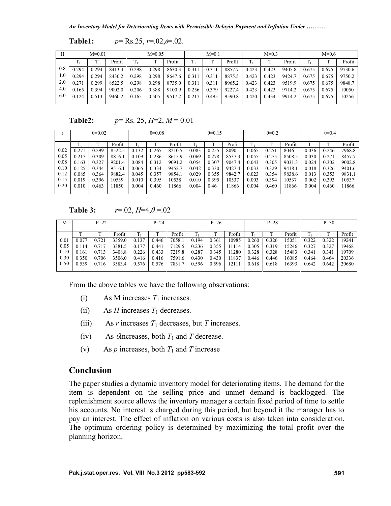```
Table1: p= Rs.25, r=.02,θ=.02.
```

| Н   | $M=0.01$ |       |        | $M=0.05$ |       |        | $M=0.1$ |       |        | $M=0.3$ |       |        | $M=0.6$ |       |        |
|-----|----------|-------|--------|----------|-------|--------|---------|-------|--------|---------|-------|--------|---------|-------|--------|
|     |          |       | Profit |          |       | Profit | Tı      |       | Profit |         |       | Profit |         |       | Profit |
| 0.8 | 0.294    | 0.294 | 8413.3 | 0.298    | 0.298 | 8630.3 | 0.311   | 0.311 | 8857.7 | 0.423   | 0.423 | 9405.8 | 0.675   | 0.675 | 9730.6 |
| 1.0 | 0.294    | 0.294 | 8430.2 | 0.298    | 0.298 | 8647.6 | 0.311   | 0.311 | 8875.5 | 0.423   | 0.423 | 9424.7 | 0.675   | 0.675 | 9750.2 |
| 2.0 | 0.271    | 0.299 | 8522.5 | 0.298    | 0.298 | 8735.0 | 0.311   | 0.311 | 8965.2 | 0.423   | 0.423 | 9519.9 | 0.675   | 0.675 | 9848.7 |
| 4.0 | 0.165    | 0.394 | 9002.0 | 0.206    | 0.388 | 9100.9 | 0.256   | 0.379 | 9227.4 | 0.423   | 0.423 | 9714.2 | 0.675   | 0.675 | 10050  |
| 6.0 | 0.124    | 0.513 | 9460.2 | 0.165    | 0.505 | 9517.2 | 0.217   | 0.495 | 9590.8 | 0.420   | 0.434 | 9914.2 | 0.675   | 0.675 | 10256  |

**Table2:**  $p = \text{Rs. } 25, H = 2, M = 0.01$ 

|      | $\theta = 0.02$ |       |        | $\theta = 0.08$ |       |        | $\theta = 0.15$ |       |        | $\theta = 0.2$ |       |        | $\theta = 0.4$ |       |        |
|------|-----------------|-------|--------|-----------------|-------|--------|-----------------|-------|--------|----------------|-------|--------|----------------|-------|--------|
|      | Profit          |       |        | Profit          |       |        | Profit          |       |        | Profit         |       |        | Profit         |       |        |
|      |                 |       |        |                 |       |        |                 |       |        |                |       |        |                |       |        |
| 0.02 | 0.271           | 0.299 | 8522.5 | 0.132           | 0.265 | 8210.5 | 0.083           | 0.255 | 8090   | 0.065          | 0.251 | 8046   | 0.036          | 0.246 | 7968.8 |
| 0.05 | 0.217           | 0.309 | 8816.1 | 0.109           | 0.286 | 8615.9 | 0.069           | 0.278 | 8537.3 | 0.055          | 0.275 | 8508.5 | 0.030          | 0.271 | 8457.7 |
| 0.08 | 0.163           | 0.327 | 9201.4 | 0.084           | 0.312 | 9091.2 | 0.054           | 0.307 | 9047.4 | 0.043          | 0.305 | 9031.3 | 0.024          | 0.302 | 9002.8 |
| 0.10 | 0.125           | 0.344 | 9516.1 | 0.065           | 0.334 | 9452.7 | 0.042           | 0.330 | 9427.4 | 0.033          | 0.329 | 9418.  | 0.018          | 0.326 | 9401.6 |
| 0.12 | 0.085           | 0.364 | 9882.4 | 0.045           | 0.357 | 9854.1 | 0.029           | 0.355 | 9842.7 | 0.023          | 0.354 | 9838.6 | 0.013          | 0.353 | 9831.1 |
| 0.15 | 0.019           | 0.396 | 10539  | 0.010           | 0.395 | 10538  | 0.010           | 0.395 | 0537   | 0.003          | 0.394 | 10537  | 0.002          | 0.393 | 10537  |
| 0.20 | 0.010           | 0.463 | 1850   | 0.004           | 0.460 | 11866  | 0.004           | 0.46  | 1866   | 0.004          | 0.460 | 11866  | 0.004          | 0.460 | 11866  |
|      |                 |       |        |                 |       |        |                 |       |        |                |       |        |                |       |        |

**Table 3:**  $r=.02$ ,  $H=4, \theta=.02$ 

| M    | $P = 22$ |       |        | $P = 24$ |       |        | $P = 26$ |       |        | $P = 28$ |       |        | $P = 30$ |              |        |
|------|----------|-------|--------|----------|-------|--------|----------|-------|--------|----------|-------|--------|----------|--------------|--------|
|      | m        | m     | Profit |          |       | Profit | m        |       | Profit |          |       | Profit | m.       | $\mathbf{r}$ | Profit |
| 0.01 | 0.077    | 0.721 | 3359.0 | 0.137    | 0.446 | 7058.  | 0.194    | 0.361 | 10985  | 0.260    | 0.326 | 5051   | 0.322    | 0.322        | 19241  |
| 0.05 | 0.114    | 0.717 | 3381.5 | 0.177    | 0.441 | 7129.5 | 0.236    | 0.355 | 11114  | 0.305    | 0.319 | 15246  | 0.327    | 0.327        | 19468  |
| 0.10 | 0.161    | 0.713 | 3408.8 | 0.226    | 0.433 | 7219.8 | 0.287    | 0.345 | 1280   | 0.328    | 0.328 | 5483   | 0.341    | 0.341        | 19709  |
| 0.30 | 0.350    | 0.706 | 3506.0 | 0.416    | 0.416 | 7591.6 | 0.430    | 0.430 | 11837  | 0.446    | 0.446 | 16085  | 0.464    | 0.464        | 20336  |
| 0.50 | 0.539    | 0.716 | 3583.4 | 0.576    | 0.576 | 7831.7 | 0.596    | 0.596 | 12111  | 0.618    | 0.618 | 16393  | 0.642    | 0.642        | 20680  |
|      |          |       |        |          |       |        |          |       |        |          |       |        |          |              |        |

From the above tables we have the following observations:

- (i) As M increases  $T_1$  increases.
- (ii) As *H* increases  $T_1$  decreases.
- (iii) As *r* increases  $T_1$  decreases, but *T* increases.
- (iv) As  $\theta$  increases, both  $T_1$  and  $T$  decrease.
- (v) As *p* increases, both  $T_1$  and *T* increase

## **Conclusion**

The paper studies a dynamic inventory model for deteriorating items. The demand for the item is dependent on the selling price and unmet demand is backlogged. The replenishment source allows the inventory manager a certain fixed period of time to settle his accounts. No interest is charged during this period, but beyond it the manager has to pay an interest. The effect of inflation on various costs is also taken into consideration. The optimum ordering policy is determined by maximizing the total profit over the planning horizon.